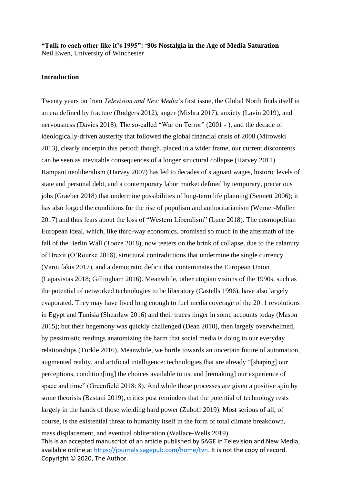**"Talk to each other like it's 1995": '90s Nostalgia in the Age of Media Saturation** Neil Ewen, University of Winchester

## **Introduction**

This is an accepted manuscript of an article published by SAGE in Television and New Media, available online at [https://journals.sagepub.com/home/tvn.](https://journals.sagepub.com/home/tvn) It is not the copy of record. Twenty years on from *Television and New Media'*s first issue, the Global North finds itself in an era defined by fracture (Rodgers 2012), anger (Mishra 2017), anxiety (Lavin 2019), and nervousness (Davies 2018). The so-called "War on Terror" (2001 - ), and the decade of ideologically-driven austerity that followed the global financial crisis of 2008 (Mirowski 2013), clearly underpin this period; though, placed in a wider frame, our current discontents can be seen as inevitable consequences of a longer structural collapse (Harvey 2011). Rampant neoliberalism (Harvey 2007) has led to decades of stagnant wages, historic levels of state and personal debt, and a contemporary labor market defined by temporary, precarious jobs (Graeber 2018) that undermine possibilities of long-term life planning (Sennett 2006); it has also forged the conditions for the rise of populism and authoritarianism (Werner-Muller 2017) and thus fears about the loss of "Western Liberalism" (Luce 2018). The cosmopolitan European ideal, which, like third-way economics, promised so much in the aftermath of the fall of the Berlin Wall (Tooze 2018), now teeters on the brink of collapse, due to the calamity of Brexit (O'Rourke 2018), structural contradictions that undermine the single currency (Varoufakis 2017), and a democratic deficit that contaminates the European Union (Lapavistas 2018; Gillingham 2016). Meanwhile, other utopian visions of the 1990s, such as the potential of networked technologies to be liberatory (Castells 1996), have also largely evaporated. They may have lived long enough to fuel media coverage of the 2011 revolutions in Egypt and Tunisia (Shearlaw 2016) and their traces linger in some accounts today (Mason 2015); but their hegemony was quickly challenged (Dean 2010), then largely overwhelmed, by pessimistic readings anatomizing the harm that social media is doing to our everyday relationships (Turkle 2016). Meanwhile, we hurtle towards an uncertain future of automation, augmented reality, and artificial intelligence: technologies that are already "[shaping] our perceptions, condition[ing] the choices available to us, and [remaking] our experience of space and time" (Greenfield 2018: 8). And while these processes are given a positive spin by some theorists (Bastani 2019), critics post reminders that the potential of technology rests largely in the hands of those wielding hard power (Zuboff 2019). Most serious of all, of course, is the existential threat to humanity itself in the form of total climate breakdown, mass displacement, and eventual obliteration (Wallace-Wells 2019).

Copyright © 2020, The Author.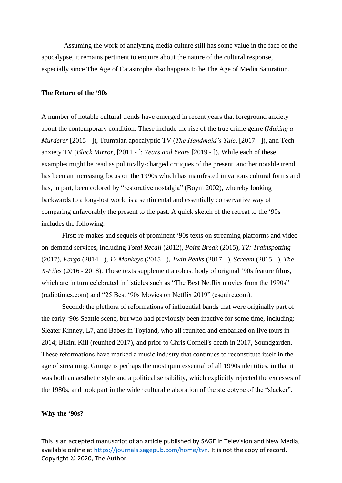Assuming the work of analyzing media culture still has some value in the face of the apocalypse, it remains pertinent to enquire about the nature of the cultural response, especially since The Age of Catastrophe also happens to be The Age of Media Saturation.

## **The Return of the '90s**

A number of notable cultural trends have emerged in recent years that foreground anxiety about the contemporary condition. These include the rise of the true crime genre (*Making a Murderer* [2015 - ]), Trumpian apocalyptic TV (*The Handmaid's Tale*, [2017 - ]), and Techanxiety TV (*Black Mirror*, [2011 - ]; *Years and Years* [2019 - ]). While each of these examples might be read as politically-charged critiques of the present, another notable trend has been an increasing focus on the 1990s which has manifested in various cultural forms and has, in part, been colored by "restorative nostalgia" (Boym 2002), whereby looking backwards to a long-lost world is a sentimental and essentially conservative way of comparing unfavorably the present to the past. A quick sketch of the retreat to the '90s includes the following.

First: re-makes and sequels of prominent '90s texts on streaming platforms and videoon-demand services, including *Total Recall* (2012), *Point Break* (2015), *T2: Trainspotting* (2017), *Fargo* (2014 - ), *12 Monkeys* (2015 - ), *Twin Peaks* (2017 - ), *Scream* (2015 - ), *The X-Files* (2016 - 2018). These texts supplement a robust body of original '90s feature films, which are in turn celebrated in listicles such as "The Best Netflix movies from the 1990s" (radiotimes.com) and "25 Best '90s Movies on Netflix 2019" (esquire.com).

Second: the plethora of reformations of influential bands that were originally part of the early '90s Seattle scene, but who had previously been inactive for some time, including: Sleater Kinney, L7, and Babes in Toyland, who all reunited and embarked on live tours in 2014; Bikini Kill (reunited 2017), and prior to Chris Cornell's death in 2017, Soundgarden. These reformations have marked a music industry that continues to reconstitute itself in the age of streaming. Grunge is perhaps the most quintessential of all 1990s identities, in that it was both an aesthetic style and a political sensibility, which explicitly rejected the excesses of the 1980s, and took part in the wider cultural elaboration of the stereotype of the "slacker".

## **Why the '90s?**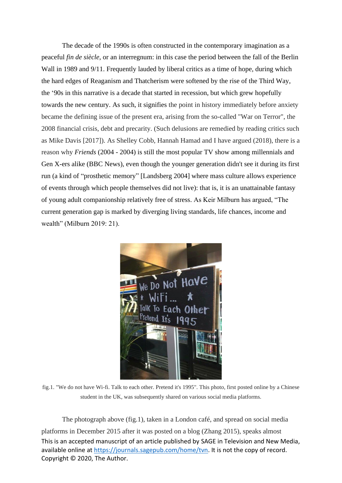The decade of the 1990s is often constructed in the contemporary imagination as a peaceful *fin de siècle*, or an interregnum: in this case the period between the fall of the Berlin Wall in 1989 and 9/11. Frequently lauded by liberal critics as a time of hope, during which the hard edges of Reaganism and Thatcherism were softened by the rise of the Third Way, the '90s in this narrative is a decade that started in recession, but which grew hopefully towards the new century. As such, it signifies the point in history immediately before anxiety became the defining issue of the present era, arising from the so-called "War on Terror", the 2008 financial crisis, debt and precarity. (Such delusions are remedied by reading critics such as Mike Davis [2017]). As Shelley Cobb, Hannah Hamad and I have argued (2018), there is a reason why *Friends* (2004 - 2004) is still the most popular TV show among millennials and Gen X-ers alike (BBC News), even though the younger generation didn't see it during its first run (a kind of "prosthetic memory" [Landsberg 2004] where mass culture allows experience of events through which people themselves did not live): that is, it is an unattainable fantasy of young adult companionship relatively free of stress. As Keir Milburn has argued, "The current generation gap is marked by diverging living standards, life chances, income and wealth" (Milburn 2019: 21).



fig.1. "We do not have Wi-fi. Talk to each other. Pretend it's 1995". This photo, first posted online by a Chinese student in the UK, was subsequently shared on various social media platforms.

This is an accepted manuscript of an article published by SAGE in Television and New Media, available online at [https://journals.sagepub.com/home/tvn.](https://journals.sagepub.com/home/tvn) It is not the copy of record. Copyright © 2020, The Author. The photograph above (fig.1), taken in a London café, and spread on social media platforms in December 2015 after it was posted on a blog (Zhang 2015), speaks almost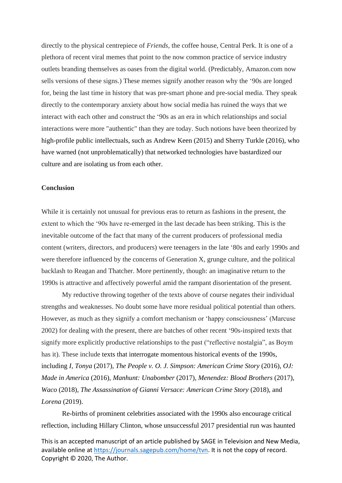directly to the physical centrepiece of *Friends*, the coffee house, Central Perk. It is one of a plethora of recent viral memes that point to the now common practice of service industry outlets branding themselves as oases from the digital world. (Predictably, Amazon.com now sells versions of these signs.) These memes signify another reason why the '90s are longed for, being the last time in history that was pre-smart phone and pre-social media. They speak directly to the contemporary anxiety about how social media has ruined the ways that we interact with each other and construct the '90s as an era in which relationships and social interactions were more "authentic" than they are today. Such notions have been theorized by high-profile public intellectuals, such as Andrew Keen (2015) and Sherry Turkle (2016), who have warned (not unproblematically) that networked technologies have bastardized our culture and are isolating us from each other.

## **Conclusion**

While it is certainly not unusual for previous eras to return as fashions in the present, the extent to which the '90s have re-emerged in the last decade has been striking. This is the inevitable outcome of the fact that many of the current producers of professional media content (writers, directors, and producers) were teenagers in the late '80s and early 1990s and were therefore influenced by the concerns of Generation X, grunge culture, and the political backlash to Reagan and Thatcher. More pertinently, though: an imaginative return to the 1990s is attractive and affectively powerful amid the rampant disorientation of the present.

My reductive throwing together of the texts above of course negates their individual strengths and weaknesses. No doubt some have more residual political potential than others. However, as much as they signify a comfort mechanism or 'happy consciousness' (Marcuse 2002) for dealing with the present, there are batches of other recent '90s-inspired texts that signify more explicitly productive relationships to the past ("reflective nostalgia", as Boym has it). These include texts that interrogate momentous historical events of the 1990s, including *I, Tonya* (2017), *The People v. O. J. Simpson: American Crime Story* (2016), *OJ: Made in America* (2016), *Manhunt: Unabomber* (2017), *Menendez: Blood Brothers* (2017), *Waco* (2018), *The Assassination of Gianni Versace: American Crime Story* (2018), and *Lorena* (2019).

Re-births of prominent celebrities associated with the 1990s also encourage critical reflection, including Hillary Clinton, whose unsuccessful 2017 presidential run was haunted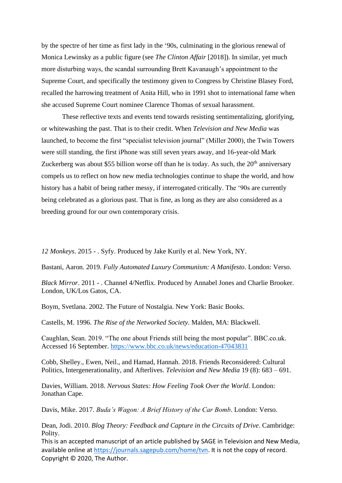by the spectre of her time as first lady in the '90s, culminating in the glorious renewal of Monica Lewinsky as a public figure (see *The Clinton Affair* [2018]). In similar, yet much more disturbing ways, the scandal surrounding Brett Kavanaugh's appointment to the Supreme Court, and specifically the testimony given to Congress by Christine Blasey Ford, recalled the harrowing treatment of Anita Hill, who in 1991 shot to international fame when she accused Supreme Court nominee Clarence Thomas of sexual harassment.

These reflective texts and events tend towards resisting sentimentalizing, glorifying, or whitewashing the past. That is to their credit. When *Television and New Media* was launched, to become the first "specialist television journal" (Miller 2000), the Twin Towers were still standing, the first iPhone was still seven years away, and 16-year-old Mark Zuckerberg was about \$55 billion worse off than he is today. As such, the 20<sup>th</sup> anniversary compels us to reflect on how new media technologies continue to shape the world, and how history has a habit of being rather messy, if interrogated critically. The '90s are currently being celebrated as a glorious past. That is fine, as long as they are also considered as a breeding ground for our own contemporary crisis.

*12 Monkeys*. 2015 - . Syfy. Produced by Jake Kurily et al. New York, NY.

Bastani, Aaron. 2019. *Fully Automated Luxury Communism: A Manifesto*. London: Verso.

*Black Mirror*. 2011 - . Channel 4/Netflix. Produced by Annabel Jones and Charlie Brooker. London, UK/Los Gatos, CA.

Boym, Svetlana. 2002. The Future of Nostalgia. New York: Basic Books.

Castells, M. 1996. *The Rise of the Networked Society*. Malden, MA: Blackwell.

Caughlan, Sean. 2019. "The one about Friends still being the most popular". BBC.co.uk. Accessed 16 September.<https://www.bbc.co.uk/news/education-47043831>

Cobb, Shelley., Ewen, Neil., and Hamad, Hannah. 2018. Friends Reconsidered: Cultural Politics, Intergenerationality, and Afterlives. *Television and New Media* 19 (8): 683 – 691.

Davies, William. 2018. *Nervous States: How Feeling Took Over the World*. London: Jonathan Cape.

Davis, Mike. 2017. *Buda's Wagon: A Brief History of the Car Bomb*. London: Verso.

Dean, Jodi. 2010. *Blog Theory: Feedback and Capture in the Circuits of Drive*. Cambridge: Polity.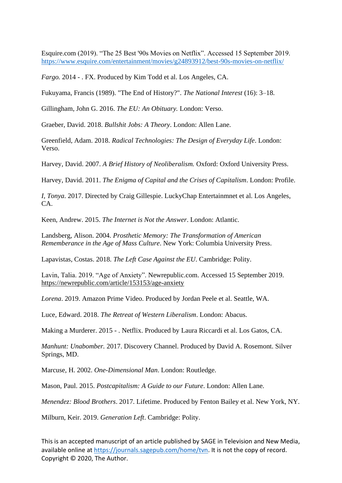Esquire.com (2019). "The 25 Best '90s Movies on Netflix". Accessed 15 September 2019. <https://www.esquire.com/entertainment/movies/g24893912/best-90s-movies-on-netflix/>

*Fargo.* 2014 - . FX. Produced by Kim Todd et al. Los Angeles, CA.

Fukuyama, Francis (1989). "The End of History?". *The National Interest* (16): 3–18.

Gillingham, John G. 2016. *The EU: An Obituary.* London: Verso.

Graeber, David. 2018. *Bullshit Jobs: A Theory*. London: Allen Lane.

Greenfield, Adam. 2018. *Radical Technologies: The Design of Everyday Life*. London: Verso.

Harvey, David. 2007. *A Brief History of Neoliberalism.* Oxford: Oxford University Press.

Harvey, David. 2011. *The Enigma of Capital and the Crises of Capitalism*. London: Profile.

*I, Tonya*. 2017. Directed by Craig Gillespie. LuckyChap Entertainmnet et al. Los Angeles, CA.

Keen, Andrew. 2015. *The Internet is Not the Answer*. London: Atlantic.

Landsberg, Alison. 2004. *Prosthetic Memory: The Transformation of American Rememberance in the Age of Mass Culture*. New York: Columbia University Press.

Lapavistas, Costas. 2018. *The Left Case Against the EU*. Cambridge: Polity.

Lavin, Talia. 2019. "Age of Anxiety". Newrepublic.com. Accessed 15 September 2019. <https://newrepublic.com/article/153153/age-anxiety>

*Lorena*. 2019. Amazon Prime Video. Produced by Jordan Peele et al. Seattle, WA.

Luce, Edward. 2018. *The Retreat of Western Liberalism*. London: Abacus.

Making a Murderer. 2015 - . Netflix. Produced by Laura Riccardi et al. Los Gatos, CA.

*Manhunt: Unabomber.* 2017. Discovery Channel. Produced by David A. Rosemont. Silver Springs, MD.

Marcuse, H. 2002. *One-Dimensional Man*. London: Routledge.

Mason, Paul. 2015. *Postcapitalism: A Guide to our Future*. London: Allen Lane.

*Menendez: Blood Brothers*. 2017. Lifetime. Produced by Fenton Bailey et al. New York, NY.

Milburn, Keir. 2019. *Generation Left*. Cambridge: Polity.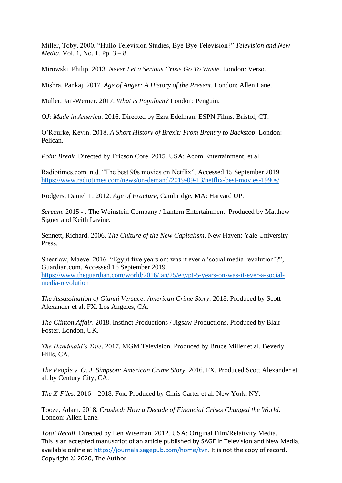Miller, Toby. 2000. "Hullo Television Studies, Bye-Bye Television?" *Television and New Media*, Vol. 1, No. 1. Pp. 3 – 8.

Mirowski, Philip. 2013. *Never Let a Serious Crisis Go To Waste*. London: Verso.

Mishra, Pankaj. 2017. *Age of Anger: A History of the Present*. London: Allen Lane.

Muller, Jan-Werner. 2017. *What is Populism?* London: Penguin.

*OJ: Made in America*. 2016. Directed by Ezra Edelman. ESPN Films. Bristol, CT.

O'Rourke, Kevin. 2018. *A Short History of Brexit: From Brentry to Backstop*. London: Pelican.

*Point Break*. Directed by Ericson Core. 2015. USA: Acom Entertainment, et al.

Radiotimes.com. n.d. "The best 90s movies on Netflix". Accessed 15 September 2019. <https://www.radiotimes.com/news/on-demand/2019-09-13/netflix-best-movies-1990s/>

Rodgers, Daniel T. 2012. *Age of Fracture*, Cambridge, MA: Harvard UP.

*Scream*. 2015 - . The Weinstein Company / Lantern Entertainment. Produced by Matthew Signer and Keith Lavine.

Sennett, Richard. 2006. *The Culture of the New Capitalism*. New Haven: Yale University Press.

Shearlaw, Maeve. 2016. "Egypt five years on: was it ever a 'social media revolution'?", Guardian.com. Accessed 16 September 2019.

[https://www.theguardian.com/world/2016/jan/25/egypt-5-years-on-was-it-ever-a-social](https://www.theguardian.com/world/2016/jan/25/egypt-5-years-on-was-it-ever-a-social-media-revolution)[media-revolution](https://www.theguardian.com/world/2016/jan/25/egypt-5-years-on-was-it-ever-a-social-media-revolution)

*The Assassination of Gianni Versace: American Crime Story.* 2018. Produced by Scott Alexander et al. FX. Los Angeles, CA.

*The Clinton Affair*. 2018. Instinct Productions / Jigsaw Productions. Produced by Blair Foster. London, UK.

*The Handmaid's Tale*. 2017. MGM Television. Produced by Bruce Miller et al. Beverly Hills, CA.

*The People v. O. J. Simpson: American Crime Story*. 2016. FX. Produced Scott Alexander et al. by Century City, CA.

*The X-Files*. 2016 – 2018. Fox. Produced by Chris Carter et al. New York, NY.

Tooze, Adam. 2018. *Crashed: How a Decade of Financial Crises Changed the World*. London: Allen Lane.

This is an accepted manuscript of an article published by SAGE in Television and New Media, available online at [https://journals.sagepub.com/home/tvn.](https://journals.sagepub.com/home/tvn) It is not the copy of record. Copyright © 2020, The Author. *Total Recall*. Directed by Len Wiseman. 2012. USA: Original Film/Relativity Media.